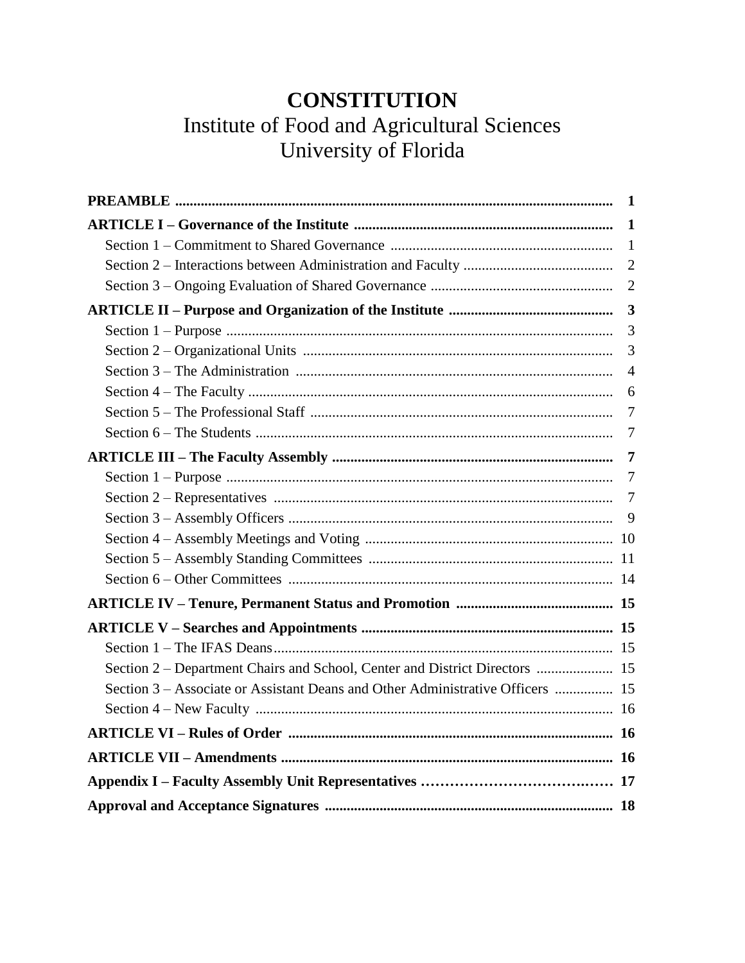# **CONSTITUTION** Institute of Food and Agricultural Sciences University of Florida

|                                                                                | - 1            |
|--------------------------------------------------------------------------------|----------------|
|                                                                                |                |
|                                                                                |                |
|                                                                                |                |
|                                                                                | $\overline{2}$ |
|                                                                                |                |
|                                                                                | 3              |
|                                                                                | 3              |
|                                                                                | $\overline{4}$ |
|                                                                                |                |
|                                                                                | $\overline{7}$ |
|                                                                                | 7              |
|                                                                                |                |
|                                                                                | $\overline{7}$ |
|                                                                                | 7              |
|                                                                                |                |
|                                                                                |                |
|                                                                                |                |
|                                                                                |                |
|                                                                                |                |
|                                                                                |                |
|                                                                                |                |
| Section 2 - Department Chairs and School, Center and District Directors  15    |                |
| Section 3 – Associate or Assistant Deans and Other Administrative Officers  15 |                |
|                                                                                |                |
|                                                                                |                |
|                                                                                |                |
|                                                                                |                |
|                                                                                |                |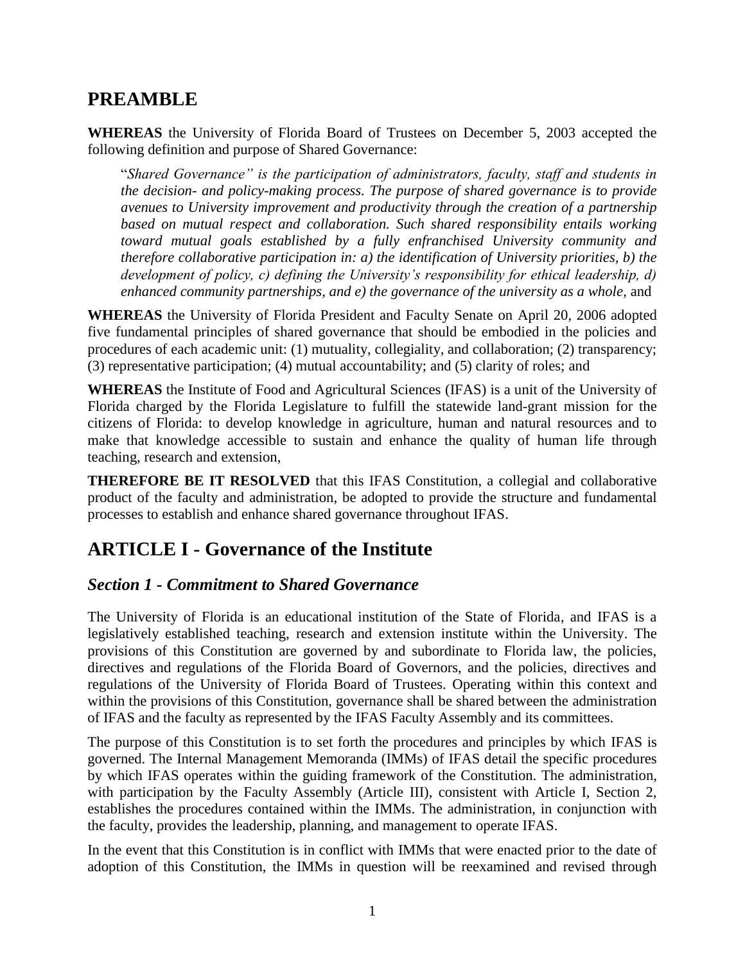## **PREAMBLE**

**WHEREAS** the University of Florida Board of Trustees on December 5, 2003 accepted the following definition and purpose of Shared Governance:

"*Shared Governance" is the participation of administrators, faculty, staff and students in the decision- and policy-making process. The purpose of shared governance is to provide avenues to University improvement and productivity through the creation of a partnership based on mutual respect and collaboration. Such shared responsibility entails working toward mutual goals established by a fully enfranchised University community and therefore collaborative participation in: a) the identification of University priorities, b) the development of policy, c) defining the University's responsibility for ethical leadership, d) enhanced community partnerships, and e) the governance of the university as a whole,* and

**WHEREAS** the University of Florida President and Faculty Senate on April 20, 2006 adopted five fundamental principles of shared governance that should be embodied in the policies and procedures of each academic unit: (1) mutuality, collegiality, and collaboration; (2) transparency; (3) representative participation; (4) mutual accountability; and (5) clarity of roles; and

**WHEREAS** the Institute of Food and Agricultural Sciences (IFAS) is a unit of the University of Florida charged by the Florida Legislature to fulfill the statewide land-grant mission for the citizens of Florida: to develop knowledge in agriculture, human and natural resources and to make that knowledge accessible to sustain and enhance the quality of human life through teaching, research and extension,

**THEREFORE BE IT RESOLVED** that this IFAS Constitution, a collegial and collaborative product of the faculty and administration, be adopted to provide the structure and fundamental processes to establish and enhance shared governance throughout IFAS.

## **ARTICLE I - Governance of the Institute**

### *Section 1 - Commitment to Shared Governance*

The University of Florida is an educational institution of the State of Florida, and IFAS is a legislatively established teaching, research and extension institute within the University. The provisions of this Constitution are governed by and subordinate to Florida law, the policies, directives and regulations of the Florida Board of Governors, and the policies, directives and regulations of the University of Florida Board of Trustees. Operating within this context and within the provisions of this Constitution, governance shall be shared between the administration of IFAS and the faculty as represented by the IFAS Faculty Assembly and its committees.

The purpose of this Constitution is to set forth the procedures and principles by which IFAS is governed. The Internal Management Memoranda (IMMs) of IFAS detail the specific procedures by which IFAS operates within the guiding framework of the Constitution. The administration, with participation by the Faculty Assembly (Article III), consistent with Article I, Section 2, establishes the procedures contained within the IMMs. The administration, in conjunction with the faculty, provides the leadership, planning, and management to operate IFAS.

In the event that this Constitution is in conflict with IMMs that were enacted prior to the date of adoption of this Constitution, the IMMs in question will be reexamined and revised through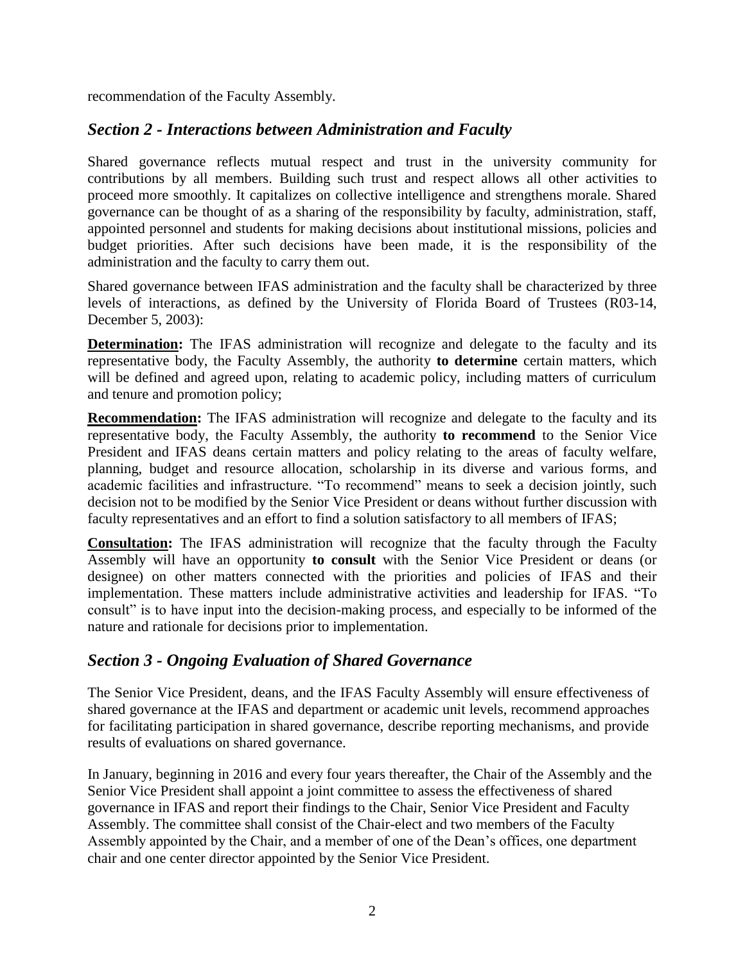recommendation of the Faculty Assembly.

## *Section 2 - Interactions between Administration and Faculty*

Shared governance reflects mutual respect and trust in the university community for contributions by all members. Building such trust and respect allows all other activities to proceed more smoothly. It capitalizes on collective intelligence and strengthens morale. Shared governance can be thought of as a sharing of the responsibility by faculty, administration, staff, appointed personnel and students for making decisions about institutional missions, policies and budget priorities. After such decisions have been made, it is the responsibility of the administration and the faculty to carry them out.

Shared governance between IFAS administration and the faculty shall be characterized by three levels of interactions, as defined by the University of Florida Board of Trustees (R03-14, December 5, 2003):

**Determination:** The IFAS administration will recognize and delegate to the faculty and its representative body, the Faculty Assembly, the authority **to determine** certain matters, which will be defined and agreed upon, relating to academic policy, including matters of curriculum and tenure and promotion policy;

**Recommendation:** The IFAS administration will recognize and delegate to the faculty and its representative body, the Faculty Assembly, the authority **to recommend** to the Senior Vice President and IFAS deans certain matters and policy relating to the areas of faculty welfare, planning, budget and resource allocation, scholarship in its diverse and various forms, and academic facilities and infrastructure. "To recommend" means to seek a decision jointly, such decision not to be modified by the Senior Vice President or deans without further discussion with faculty representatives and an effort to find a solution satisfactory to all members of IFAS;

**Consultation:** The IFAS administration will recognize that the faculty through the Faculty Assembly will have an opportunity **to consult** with the Senior Vice President or deans (or designee) on other matters connected with the priorities and policies of IFAS and their implementation. These matters include administrative activities and leadership for IFAS. "To consult" is to have input into the decision-making process, and especially to be informed of the nature and rationale for decisions prior to implementation.

## *Section 3 - Ongoing Evaluation of Shared Governance*

The Senior Vice President, deans, and the IFAS Faculty Assembly will ensure effectiveness of shared governance at the IFAS and department or academic unit levels, recommend approaches for facilitating participation in shared governance, describe reporting mechanisms, and provide results of evaluations on shared governance.

In January, beginning in 2016 and every four years thereafter, the Chair of the Assembly and the Senior Vice President shall appoint a joint committee to assess the effectiveness of shared governance in IFAS and report their findings to the Chair, Senior Vice President and Faculty Assembly. The committee shall consist of the Chair-elect and two members of the Faculty Assembly appointed by the Chair, and a member of one of the Dean's offices, one department chair and one center director appointed by the Senior Vice President.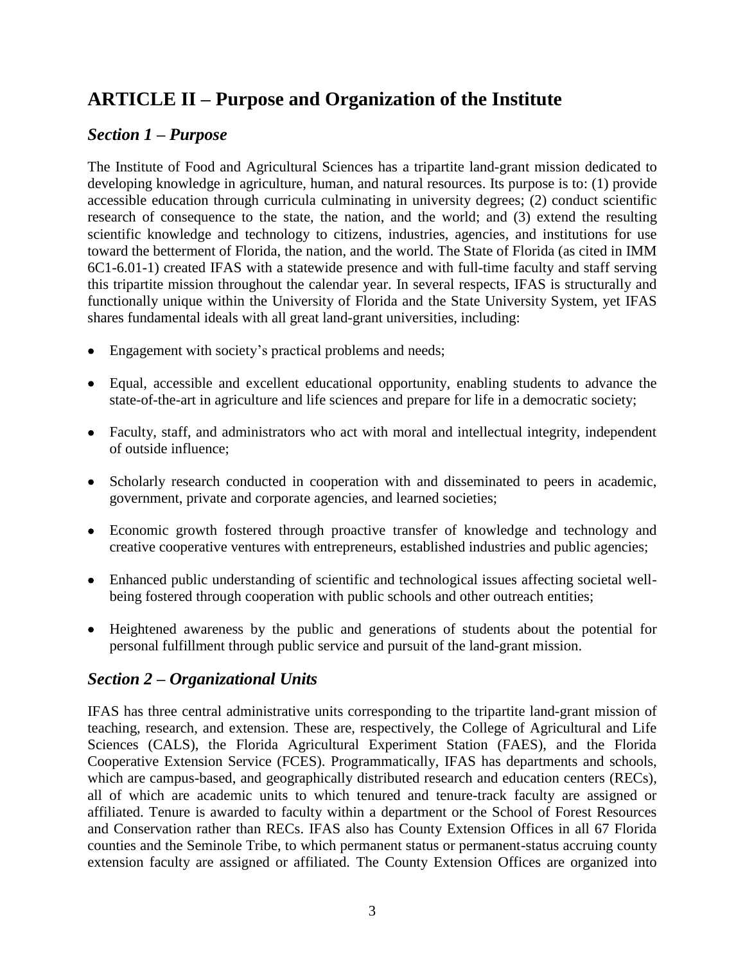## **ARTICLE II – Purpose and Organization of the Institute**

## *Section 1 – Purpose*

The Institute of Food and Agricultural Sciences has a tripartite land-grant mission dedicated to developing knowledge in agriculture, human, and natural resources. Its purpose is to: (1) provide accessible education through curricula culminating in university degrees; (2) conduct scientific research of consequence to the state, the nation, and the world; and (3) extend the resulting scientific knowledge and technology to citizens, industries, agencies, and institutions for use toward the betterment of Florida, the nation, and the world. The State of Florida (as cited in IMM 6C1-6.01-1) created IFAS with a statewide presence and with full-time faculty and staff serving this tripartite mission throughout the calendar year. In several respects, IFAS is structurally and functionally unique within the University of Florida and the State University System, yet IFAS shares fundamental ideals with all great land-grant universities, including:

- Engagement with society's practical problems and needs;
- Equal, accessible and excellent educational opportunity, enabling students to advance the state-of-the-art in agriculture and life sciences and prepare for life in a democratic society;
- Faculty, staff, and administrators who act with moral and intellectual integrity, independent of outside influence;
- Scholarly research conducted in cooperation with and disseminated to peers in academic, government, private and corporate agencies, and learned societies;
- Economic growth fostered through proactive transfer of knowledge and technology and creative cooperative ventures with entrepreneurs, established industries and public agencies;
- Enhanced public understanding of scientific and technological issues affecting societal wellbeing fostered through cooperation with public schools and other outreach entities;
- Heightened awareness by the public and generations of students about the potential for personal fulfillment through public service and pursuit of the land-grant mission.

### *Section 2 – Organizational Units*

IFAS has three central administrative units corresponding to the tripartite land-grant mission of teaching, research, and extension. These are, respectively, the College of Agricultural and Life Sciences (CALS), the Florida Agricultural Experiment Station (FAES), and the Florida Cooperative Extension Service (FCES). Programmatically, IFAS has departments and schools, which are campus-based, and geographically distributed research and education centers (RECs), all of which are academic units to which tenured and tenure-track faculty are assigned or affiliated. Tenure is awarded to faculty within a department or the School of Forest Resources and Conservation rather than RECs. IFAS also has County Extension Offices in all 67 Florida counties and the Seminole Tribe, to which permanent status or permanent-status accruing county extension faculty are assigned or affiliated. The County Extension Offices are organized into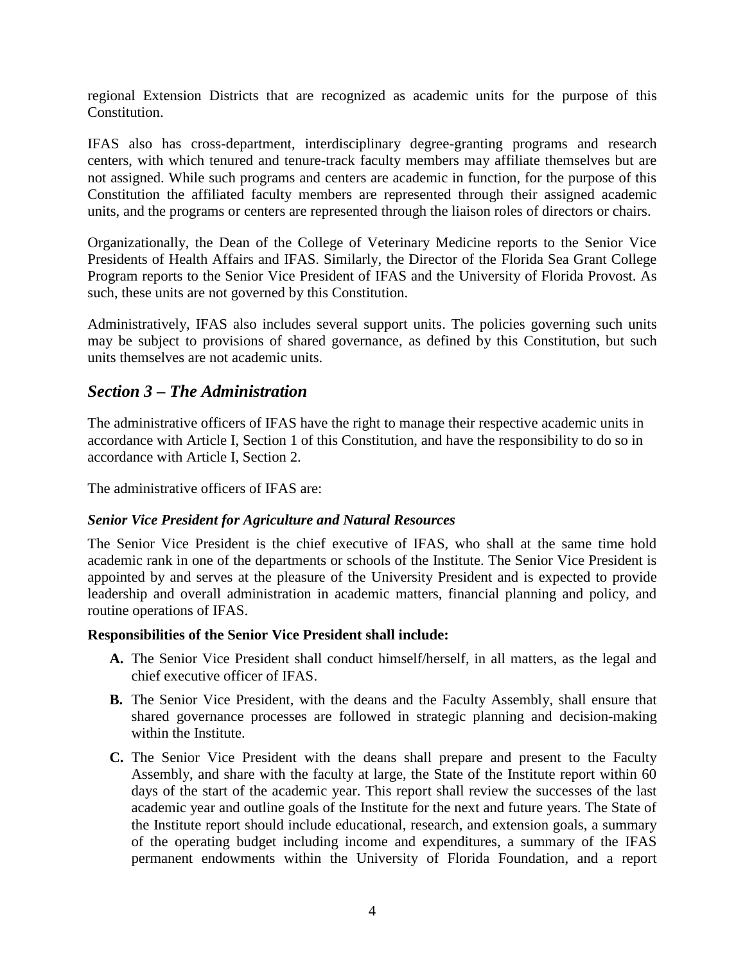regional Extension Districts that are recognized as academic units for the purpose of this Constitution.

IFAS also has cross-department, interdisciplinary degree-granting programs and research centers, with which tenured and tenure-track faculty members may affiliate themselves but are not assigned. While such programs and centers are academic in function, for the purpose of this Constitution the affiliated faculty members are represented through their assigned academic units, and the programs or centers are represented through the liaison roles of directors or chairs.

Organizationally, the Dean of the College of Veterinary Medicine reports to the Senior Vice Presidents of Health Affairs and IFAS. Similarly, the Director of the Florida Sea Grant College Program reports to the Senior Vice President of IFAS and the University of Florida Provost. As such, these units are not governed by this Constitution.

Administratively, IFAS also includes several support units. The policies governing such units may be subject to provisions of shared governance, as defined by this Constitution, but such units themselves are not academic units.

### *Section 3 – The Administration*

The administrative officers of IFAS have the right to manage their respective academic units in accordance with Article I, Section 1 of this Constitution, and have the responsibility to do so in accordance with Article I, Section 2.

The administrative officers of IFAS are:

#### *Senior Vice President for Agriculture and Natural Resources*

The Senior Vice President is the chief executive of IFAS, who shall at the same time hold academic rank in one of the departments or schools of the Institute. The Senior Vice President is appointed by and serves at the pleasure of the University President and is expected to provide leadership and overall administration in academic matters, financial planning and policy, and routine operations of IFAS.

#### **Responsibilities of the Senior Vice President shall include:**

- **A.** The Senior Vice President shall conduct himself/herself, in all matters, as the legal and chief executive officer of IFAS.
- **B.** The Senior Vice President, with the deans and the Faculty Assembly, shall ensure that shared governance processes are followed in strategic planning and decision-making within the Institute.
- **C.** The Senior Vice President with the deans shall prepare and present to the Faculty Assembly, and share with the faculty at large, the State of the Institute report within 60 days of the start of the academic year. This report shall review the successes of the last academic year and outline goals of the Institute for the next and future years. The State of the Institute report should include educational, research, and extension goals, a summary of the operating budget including income and expenditures, a summary of the IFAS permanent endowments within the University of Florida Foundation, and a report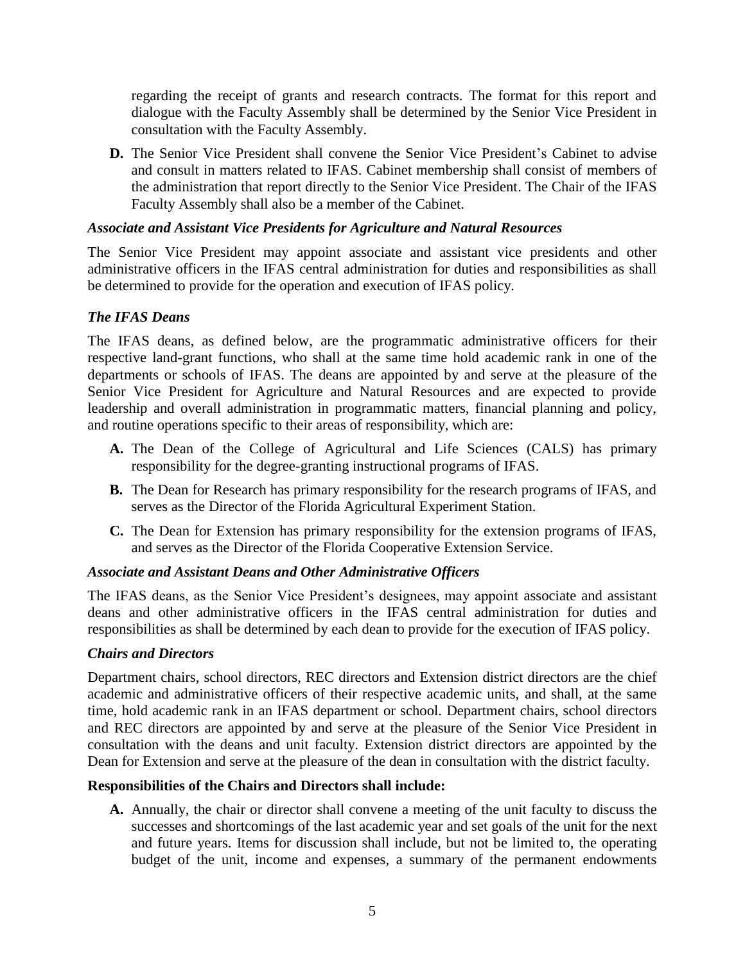regarding the receipt of grants and research contracts. The format for this report and dialogue with the Faculty Assembly shall be determined by the Senior Vice President in consultation with the Faculty Assembly.

**D.** The Senior Vice President shall convene the Senior Vice President's Cabinet to advise and consult in matters related to IFAS. Cabinet membership shall consist of members of the administration that report directly to the Senior Vice President. The Chair of the IFAS Faculty Assembly shall also be a member of the Cabinet.

#### *Associate and Assistant Vice Presidents for Agriculture and Natural Resources*

The Senior Vice President may appoint associate and assistant vice presidents and other administrative officers in the IFAS central administration for duties and responsibilities as shall be determined to provide for the operation and execution of IFAS policy.

#### *The IFAS Deans*

The IFAS deans, as defined below, are the programmatic administrative officers for their respective land-grant functions, who shall at the same time hold academic rank in one of the departments or schools of IFAS. The deans are appointed by and serve at the pleasure of the Senior Vice President for Agriculture and Natural Resources and are expected to provide leadership and overall administration in programmatic matters, financial planning and policy, and routine operations specific to their areas of responsibility, which are:

- **A.** The Dean of the College of Agricultural and Life Sciences (CALS) has primary responsibility for the degree-granting instructional programs of IFAS.
- **B.** The Dean for Research has primary responsibility for the research programs of IFAS, and serves as the Director of the Florida Agricultural Experiment Station.
- **C.** The Dean for Extension has primary responsibility for the extension programs of IFAS, and serves as the Director of the Florida Cooperative Extension Service.

#### *Associate and Assistant Deans and Other Administrative Officers*

The IFAS deans, as the Senior Vice President's designees, may appoint associate and assistant deans and other administrative officers in the IFAS central administration for duties and responsibilities as shall be determined by each dean to provide for the execution of IFAS policy.

#### *Chairs and Directors*

Department chairs, school directors, REC directors and Extension district directors are the chief academic and administrative officers of their respective academic units, and shall, at the same time, hold academic rank in an IFAS department or school. Department chairs, school directors and REC directors are appointed by and serve at the pleasure of the Senior Vice President in consultation with the deans and unit faculty. Extension district directors are appointed by the Dean for Extension and serve at the pleasure of the dean in consultation with the district faculty.

#### **Responsibilities of the Chairs and Directors shall include:**

**A.** Annually, the chair or director shall convene a meeting of the unit faculty to discuss the successes and shortcomings of the last academic year and set goals of the unit for the next and future years. Items for discussion shall include, but not be limited to, the operating budget of the unit, income and expenses, a summary of the permanent endowments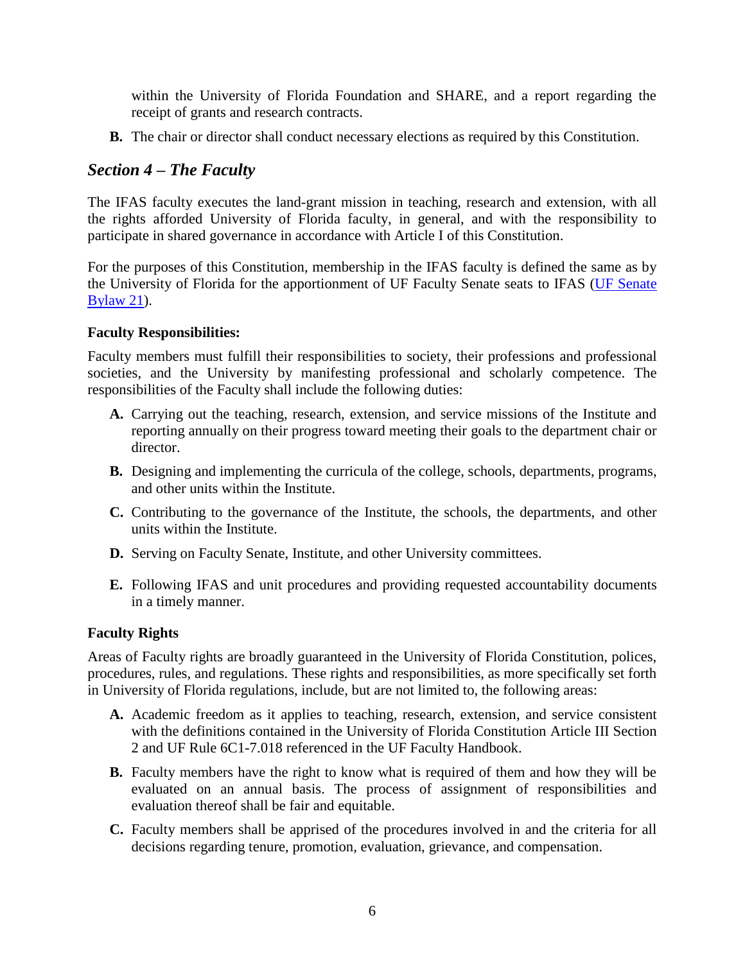within the University of Florida Foundation and SHARE, and a report regarding the receipt of grants and research contracts.

**B.** The chair or director shall conduct necessary elections as required by this Constitution.

### *Section 4 – The Faculty*

The IFAS faculty executes the land-grant mission in teaching, research and extension, with all the rights afforded University of Florida faculty, in general, and with the responsibility to participate in shared governance in accordance with Article I of this Constitution.

For the purposes of this Constitution, membership in the IFAS faculty is defined the same as by the University of Florida for the apportionment of UF Faculty Senate seats to IFAS [\(UF Senate](http://www.generalcounsel.ufl.edu/downloads/Bylaws.pdf) [Bylaw 21\)](http://www.generalcounsel.ufl.edu/downloads/Bylaws.pdf).

#### **Faculty Responsibilities:**

Faculty members must fulfill their responsibilities to society, their professions and professional societies, and the University by manifesting professional and scholarly competence. The responsibilities of the Faculty shall include the following duties:

- **A.** Carrying out the teaching, research, extension, and service missions of the Institute and reporting annually on their progress toward meeting their goals to the department chair or director.
- **B.** Designing and implementing the curricula of the college, schools, departments, programs, and other units within the Institute.
- **C.** Contributing to the governance of the Institute, the schools, the departments, and other units within the Institute.
- **D.** Serving on Faculty Senate, Institute, and other University committees.
- **E.** Following IFAS and unit procedures and providing requested accountability documents in a timely manner.

#### **Faculty Rights**

Areas of Faculty rights are broadly guaranteed in the University of Florida Constitution, polices, procedures, rules, and regulations. These rights and responsibilities, as more specifically set forth in University of Florida regulations, include, but are not limited to, the following areas:

- **A.** Academic freedom as it applies to teaching, research, extension, and service consistent with the definitions contained in the University of Florida Constitution Article III Section 2 and UF Rule 6C1-7.018 referenced in the UF Faculty Handbook.
- **B.** Faculty members have the right to know what is required of them and how they will be evaluated on an annual basis. The process of assignment of responsibilities and evaluation thereof shall be fair and equitable.
- **C.** Faculty members shall be apprised of the procedures involved in and the criteria for all decisions regarding tenure, promotion, evaluation, grievance, and compensation.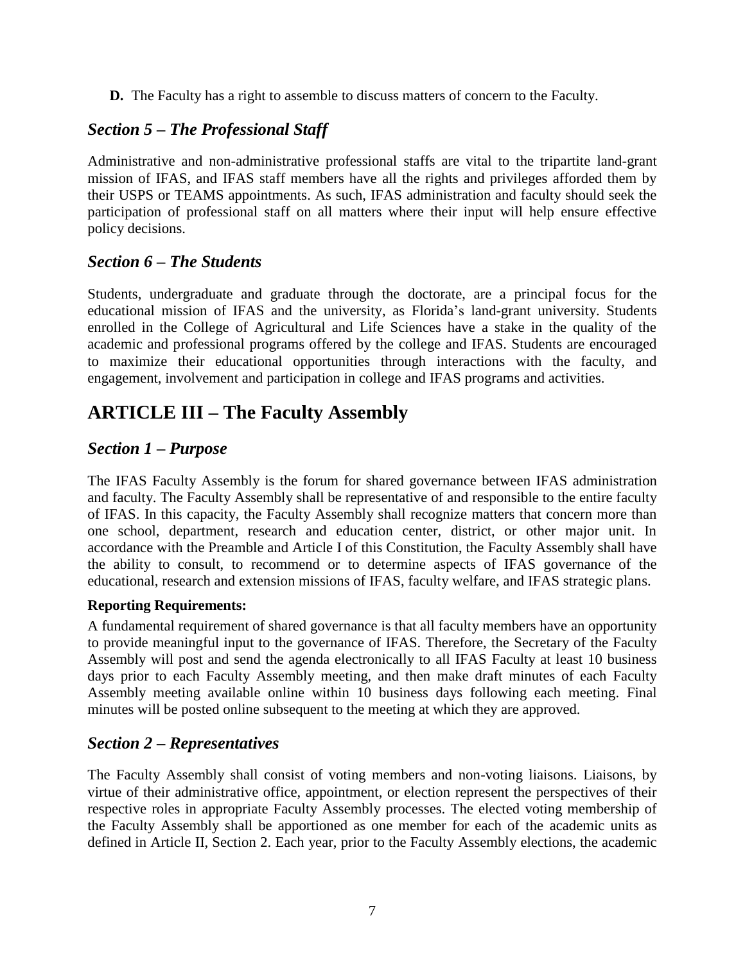**D.** The Faculty has a right to assemble to discuss matters of concern to the Faculty.

## *Section 5 – The Professional Staff*

Administrative and non-administrative professional staffs are vital to the tripartite land-grant mission of IFAS, and IFAS staff members have all the rights and privileges afforded them by their USPS or TEAMS appointments. As such, IFAS administration and faculty should seek the participation of professional staff on all matters where their input will help ensure effective policy decisions.

## *Section 6 – The Students*

Students, undergraduate and graduate through the doctorate, are a principal focus for the educational mission of IFAS and the university, as Florida's land-grant university. Students enrolled in the College of Agricultural and Life Sciences have a stake in the quality of the academic and professional programs offered by the college and IFAS. Students are encouraged to maximize their educational opportunities through interactions with the faculty, and engagement, involvement and participation in college and IFAS programs and activities.

## **ARTICLE III – The Faculty Assembly**

## *Section 1 – Purpose*

The IFAS Faculty Assembly is the forum for shared governance between IFAS administration and faculty. The Faculty Assembly shall be representative of and responsible to the entire faculty of IFAS. In this capacity, the Faculty Assembly shall recognize matters that concern more than one school, department, research and education center, district, or other major unit. In accordance with the Preamble and Article I of this Constitution, the Faculty Assembly shall have the ability to consult, to recommend or to determine aspects of IFAS governance of the educational, research and extension missions of IFAS, faculty welfare, and IFAS strategic plans.

#### **Reporting Requirements:**

A fundamental requirement of shared governance is that all faculty members have an opportunity to provide meaningful input to the governance of IFAS. Therefore, the Secretary of the Faculty Assembly will post and send the agenda electronically to all IFAS Faculty at least 10 business days prior to each Faculty Assembly meeting, and then make draft minutes of each Faculty Assembly meeting available online within 10 business days following each meeting. Final minutes will be posted online subsequent to the meeting at which they are approved.

### *Section 2 – Representatives*

The Faculty Assembly shall consist of voting members and non-voting liaisons. Liaisons, by virtue of their administrative office, appointment, or election represent the perspectives of their respective roles in appropriate Faculty Assembly processes. The elected voting membership of the Faculty Assembly shall be apportioned as one member for each of the academic units as defined in Article II, Section 2. Each year, prior to the Faculty Assembly elections, the academic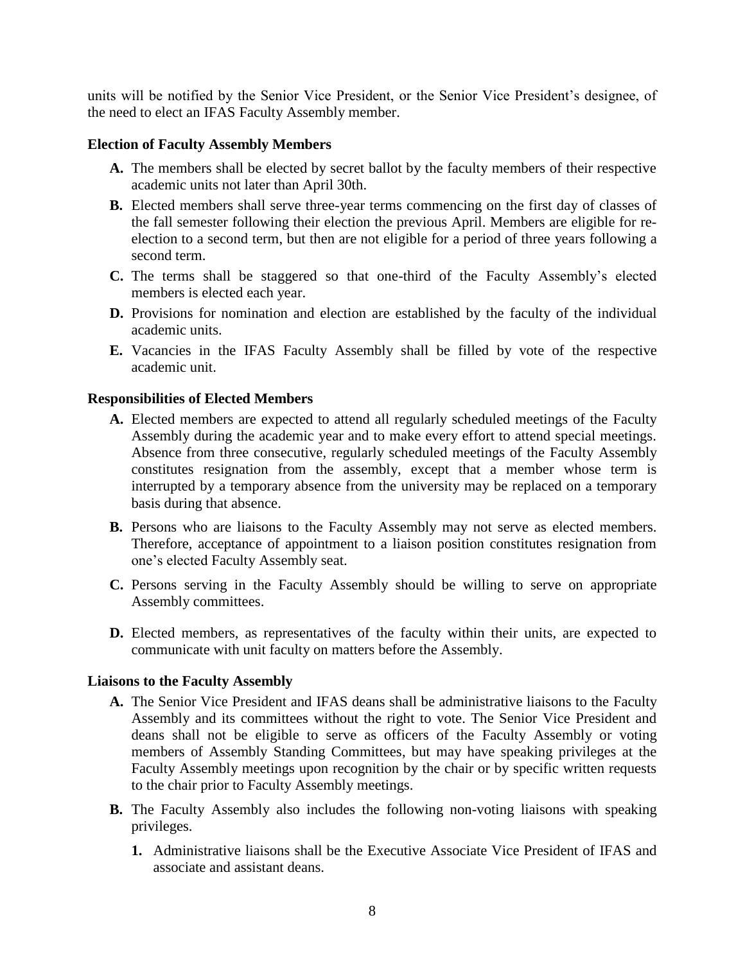units will be notified by the Senior Vice President, or the Senior Vice President's designee, of the need to elect an IFAS Faculty Assembly member.

#### **Election of Faculty Assembly Members**

- **A.** The members shall be elected by secret ballot by the faculty members of their respective academic units not later than April 30th.
- **B.** Elected members shall serve three-year terms commencing on the first day of classes of the fall semester following their election the previous April. Members are eligible for reelection to a second term, but then are not eligible for a period of three years following a second term.
- **C.** The terms shall be staggered so that one-third of the Faculty Assembly's elected members is elected each year.
- **D.** Provisions for nomination and election are established by the faculty of the individual academic units.
- **E.** Vacancies in the IFAS Faculty Assembly shall be filled by vote of the respective academic unit.

#### **Responsibilities of Elected Members**

- **A.** Elected members are expected to attend all regularly scheduled meetings of the Faculty Assembly during the academic year and to make every effort to attend special meetings. Absence from three consecutive, regularly scheduled meetings of the Faculty Assembly constitutes resignation from the assembly, except that a member whose term is interrupted by a temporary absence from the university may be replaced on a temporary basis during that absence.
- **B.** Persons who are liaisons to the Faculty Assembly may not serve as elected members. Therefore, acceptance of appointment to a liaison position constitutes resignation from one's elected Faculty Assembly seat.
- **C.** Persons serving in the Faculty Assembly should be willing to serve on appropriate Assembly committees.
- **D.** Elected members, as representatives of the faculty within their units, are expected to communicate with unit faculty on matters before the Assembly.

#### **Liaisons to the Faculty Assembly**

- **A.** The Senior Vice President and IFAS deans shall be administrative liaisons to the Faculty Assembly and its committees without the right to vote. The Senior Vice President and deans shall not be eligible to serve as officers of the Faculty Assembly or voting members of Assembly Standing Committees, but may have speaking privileges at the Faculty Assembly meetings upon recognition by the chair or by specific written requests to the chair prior to Faculty Assembly meetings.
- **B.** The Faculty Assembly also includes the following non-voting liaisons with speaking privileges.
	- **1.** Administrative liaisons shall be the Executive Associate Vice President of IFAS and associate and assistant deans.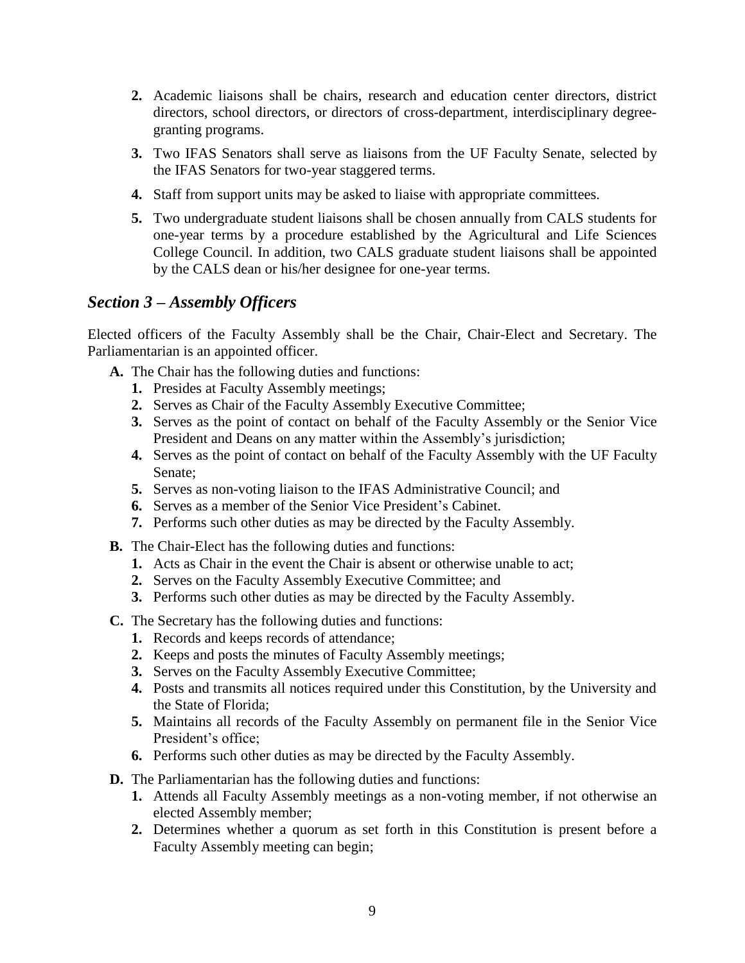- **2.** Academic liaisons shall be chairs, research and education center directors, district directors, school directors, or directors of cross-department, interdisciplinary degreegranting programs.
- **3.** Two IFAS Senators shall serve as liaisons from the UF Faculty Senate, selected by the IFAS Senators for two-year staggered terms.
- **4.** Staff from support units may be asked to liaise with appropriate committees.
- **5.** Two undergraduate student liaisons shall be chosen annually from CALS students for one-year terms by a procedure established by the Agricultural and Life Sciences College Council. In addition, two CALS graduate student liaisons shall be appointed by the CALS dean or his/her designee for one-year terms.

## *Section 3 – Assembly Officers*

Elected officers of the Faculty Assembly shall be the Chair, Chair-Elect and Secretary. The Parliamentarian is an appointed officer.

- **A.** The Chair has the following duties and functions:
	- **1.** Presides at Faculty Assembly meetings;
	- **2.** Serves as Chair of the Faculty Assembly Executive Committee;
	- **3.** Serves as the point of contact on behalf of the Faculty Assembly or the Senior Vice President and Deans on any matter within the Assembly's jurisdiction;
	- **4.** Serves as the point of contact on behalf of the Faculty Assembly with the UF Faculty Senate;
	- **5.** Serves as non-voting liaison to the IFAS Administrative Council; and
	- **6.** Serves as a member of the Senior Vice President's Cabinet.
	- **7.** Performs such other duties as may be directed by the Faculty Assembly.
- **B.** The Chair-Elect has the following duties and functions:
	- **1.** Acts as Chair in the event the Chair is absent or otherwise unable to act;
	- **2.** Serves on the Faculty Assembly Executive Committee; and
	- **3.** Performs such other duties as may be directed by the Faculty Assembly.
- **C.** The Secretary has the following duties and functions:
	- **1.** Records and keeps records of attendance;
	- **2.** Keeps and posts the minutes of Faculty Assembly meetings;
	- **3.** Serves on the Faculty Assembly Executive Committee;
	- **4.** Posts and transmits all notices required under this Constitution, by the University and the State of Florida;
	- **5.** Maintains all records of the Faculty Assembly on permanent file in the Senior Vice President's office;
	- **6.** Performs such other duties as may be directed by the Faculty Assembly.
- **D.** The Parliamentarian has the following duties and functions:
	- **1.** Attends all Faculty Assembly meetings as a non-voting member, if not otherwise an elected Assembly member;
	- **2.** Determines whether a quorum as set forth in this Constitution is present before a Faculty Assembly meeting can begin;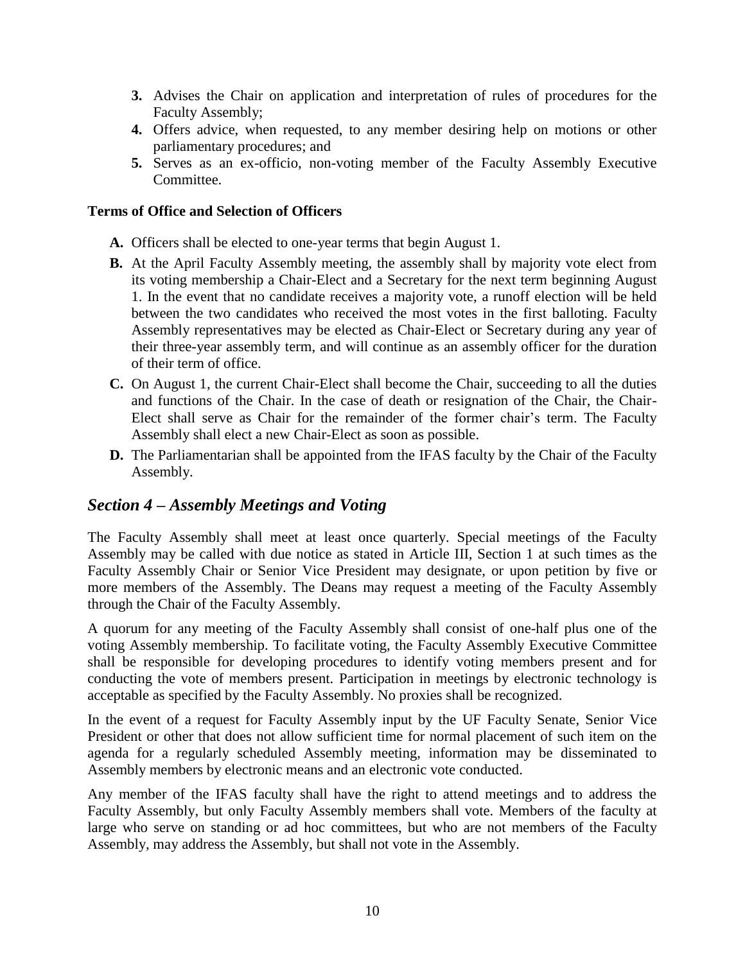- **3.** Advises the Chair on application and interpretation of rules of procedures for the Faculty Assembly;
- **4.** Offers advice, when requested, to any member desiring help on motions or other parliamentary procedures; and
- **5.** Serves as an ex-officio, non-voting member of the Faculty Assembly Executive Committee.

#### **Terms of Office and Selection of Officers**

- **A.** Officers shall be elected to one-year terms that begin August 1.
- **B.** At the April Faculty Assembly meeting, the assembly shall by majority vote elect from its voting membership a Chair-Elect and a Secretary for the next term beginning August 1. In the event that no candidate receives a majority vote, a runoff election will be held between the two candidates who received the most votes in the first balloting. Faculty Assembly representatives may be elected as Chair-Elect or Secretary during any year of their three-year assembly term, and will continue as an assembly officer for the duration of their term of office.
- **C.** On August 1, the current Chair-Elect shall become the Chair, succeeding to all the duties and functions of the Chair. In the case of death or resignation of the Chair, the Chair-Elect shall serve as Chair for the remainder of the former chair's term. The Faculty Assembly shall elect a new Chair-Elect as soon as possible.
- **D.** The Parliamentarian shall be appointed from the IFAS faculty by the Chair of the Faculty Assembly.

### *Section 4 – Assembly Meetings and Voting*

The Faculty Assembly shall meet at least once quarterly. Special meetings of the Faculty Assembly may be called with due notice as stated in Article III, Section 1 at such times as the Faculty Assembly Chair or Senior Vice President may designate, or upon petition by five or more members of the Assembly. The Deans may request a meeting of the Faculty Assembly through the Chair of the Faculty Assembly.

A quorum for any meeting of the Faculty Assembly shall consist of one-half plus one of the voting Assembly membership. To facilitate voting, the Faculty Assembly Executive Committee shall be responsible for developing procedures to identify voting members present and for conducting the vote of members present. Participation in meetings by electronic technology is acceptable as specified by the Faculty Assembly. No proxies shall be recognized.

In the event of a request for Faculty Assembly input by the UF Faculty Senate, Senior Vice President or other that does not allow sufficient time for normal placement of such item on the agenda for a regularly scheduled Assembly meeting, information may be disseminated to Assembly members by electronic means and an electronic vote conducted.

Any member of the IFAS faculty shall have the right to attend meetings and to address the Faculty Assembly, but only Faculty Assembly members shall vote. Members of the faculty at large who serve on standing or ad hoc committees, but who are not members of the Faculty Assembly, may address the Assembly, but shall not vote in the Assembly.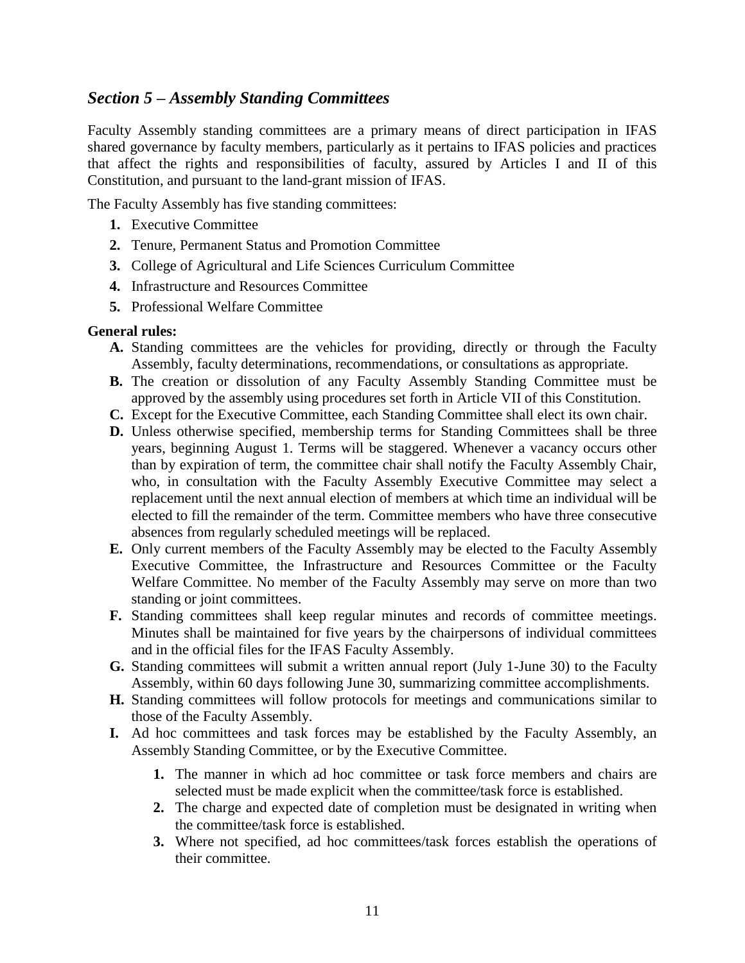### *Section 5 – Assembly Standing Committees*

Faculty Assembly standing committees are a primary means of direct participation in IFAS shared governance by faculty members, particularly as it pertains to IFAS policies and practices that affect the rights and responsibilities of faculty, assured by Articles I and II of this Constitution, and pursuant to the land-grant mission of IFAS.

The Faculty Assembly has five standing committees:

- **1.** Executive Committee
- **2.** Tenure, Permanent Status and Promotion Committee
- **3.** College of Agricultural and Life Sciences Curriculum Committee
- **4.** Infrastructure and Resources Committee
- **5.** Professional Welfare Committee

#### **General rules:**

- **A.** Standing committees are the vehicles for providing, directly or through the Faculty Assembly, faculty determinations, recommendations, or consultations as appropriate.
- **B.** The creation or dissolution of any Faculty Assembly Standing Committee must be approved by the assembly using procedures set forth in Article VII of this Constitution.
- **C.** Except for the Executive Committee, each Standing Committee shall elect its own chair.
- **D.** Unless otherwise specified, membership terms for Standing Committees shall be three years, beginning August 1. Terms will be staggered. Whenever a vacancy occurs other than by expiration of term, the committee chair shall notify the Faculty Assembly Chair, who, in consultation with the Faculty Assembly Executive Committee may select a replacement until the next annual election of members at which time an individual will be elected to fill the remainder of the term. Committee members who have three consecutive absences from regularly scheduled meetings will be replaced.
- **E.** Only current members of the Faculty Assembly may be elected to the Faculty Assembly Executive Committee, the Infrastructure and Resources Committee or the Faculty Welfare Committee. No member of the Faculty Assembly may serve on more than two standing or joint committees.
- **F.** Standing committees shall keep regular minutes and records of committee meetings. Minutes shall be maintained for five years by the chairpersons of individual committees and in the official files for the IFAS Faculty Assembly.
- **G.** Standing committees will submit a written annual report (July 1-June 30) to the Faculty Assembly, within 60 days following June 30, summarizing committee accomplishments.
- **H.** Standing committees will follow protocols for meetings and communications similar to those of the Faculty Assembly.
- **I.** Ad hoc committees and task forces may be established by the Faculty Assembly, an Assembly Standing Committee, or by the Executive Committee.
	- **1.** The manner in which ad hoc committee or task force members and chairs are selected must be made explicit when the committee/task force is established.
	- **2.** The charge and expected date of completion must be designated in writing when the committee/task force is established.
	- **3.** Where not specified, ad hoc committees/task forces establish the operations of their committee.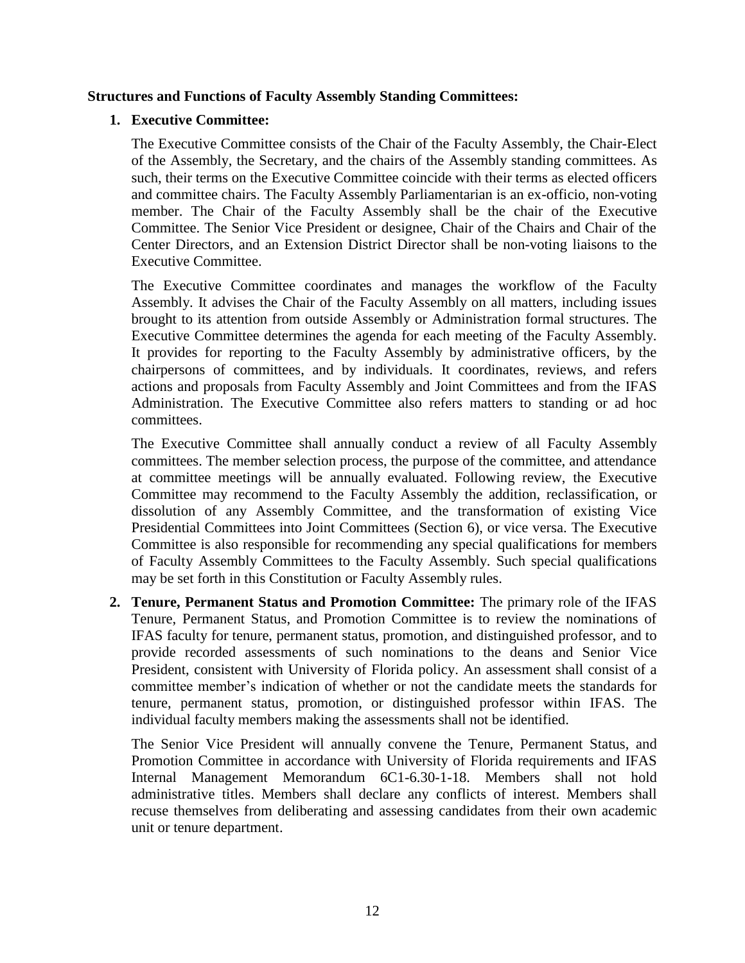#### **Structures and Functions of Faculty Assembly Standing Committees:**

#### **1. Executive Committee:**

The Executive Committee consists of the Chair of the Faculty Assembly, the Chair-Elect of the Assembly, the Secretary, and the chairs of the Assembly standing committees. As such, their terms on the Executive Committee coincide with their terms as elected officers and committee chairs. The Faculty Assembly Parliamentarian is an ex-officio, non-voting member. The Chair of the Faculty Assembly shall be the chair of the Executive Committee. The Senior Vice President or designee, Chair of the Chairs and Chair of the Center Directors, and an Extension District Director shall be non-voting liaisons to the Executive Committee.

The Executive Committee coordinates and manages the workflow of the Faculty Assembly. It advises the Chair of the Faculty Assembly on all matters, including issues brought to its attention from outside Assembly or Administration formal structures. The Executive Committee determines the agenda for each meeting of the Faculty Assembly. It provides for reporting to the Faculty Assembly by administrative officers, by the chairpersons of committees, and by individuals. It coordinates, reviews, and refers actions and proposals from Faculty Assembly and Joint Committees and from the IFAS Administration. The Executive Committee also refers matters to standing or ad hoc committees.

The Executive Committee shall annually conduct a review of all Faculty Assembly committees. The member selection process, the purpose of the committee, and attendance at committee meetings will be annually evaluated. Following review, the Executive Committee may recommend to the Faculty Assembly the addition, reclassification, or dissolution of any Assembly Committee, and the transformation of existing Vice Presidential Committees into Joint Committees (Section 6), or vice versa. The Executive Committee is also responsible for recommending any special qualifications for members of Faculty Assembly Committees to the Faculty Assembly. Such special qualifications may be set forth in this Constitution or Faculty Assembly rules.

**2. Tenure, Permanent Status and Promotion Committee:** The primary role of the IFAS Tenure, Permanent Status, and Promotion Committee is to review the nominations of IFAS faculty for tenure, permanent status, promotion, and distinguished professor, and to provide recorded assessments of such nominations to the deans and Senior Vice President, consistent with University of Florida policy. An assessment shall consist of a committee member's indication of whether or not the candidate meets the standards for tenure, permanent status, promotion, or distinguished professor within IFAS. The individual faculty members making the assessments shall not be identified.

The Senior Vice President will annually convene the Tenure, Permanent Status, and Promotion Committee in accordance with University of Florida requirements and IFAS Internal Management Memorandum 6C1-6.30-1-18. Members shall not hold administrative titles. Members shall declare any conflicts of interest. Members shall recuse themselves from deliberating and assessing candidates from their own academic unit or tenure department.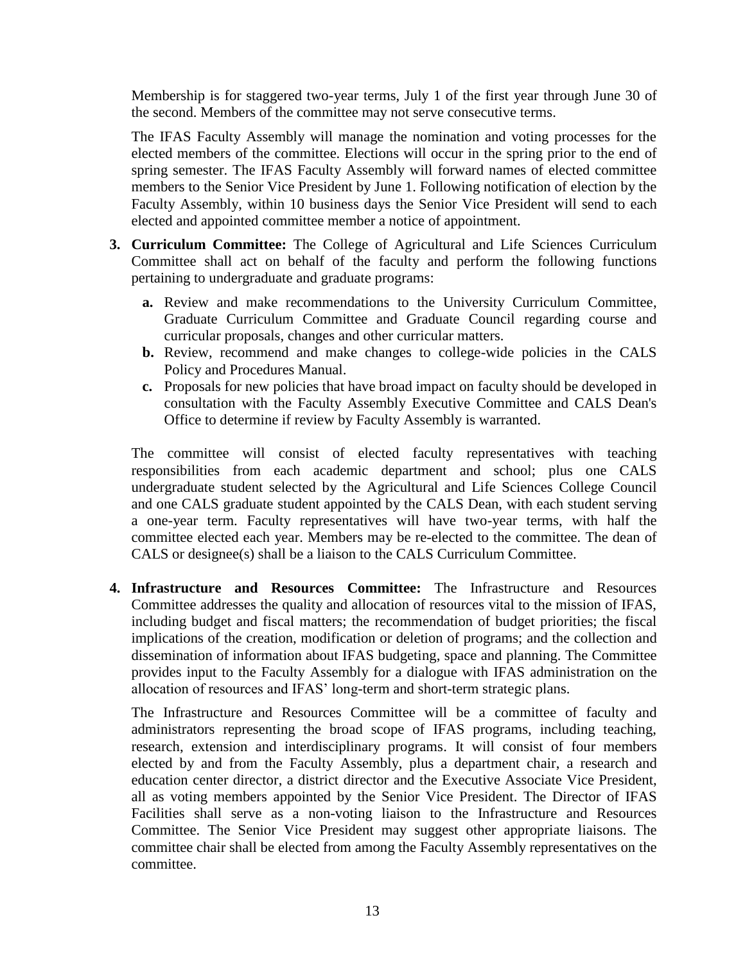Membership is for staggered two-year terms, July 1 of the first year through June 30 of the second. Members of the committee may not serve consecutive terms.

The IFAS Faculty Assembly will manage the nomination and voting processes for the elected members of the committee. Elections will occur in the spring prior to the end of spring semester. The IFAS Faculty Assembly will forward names of elected committee members to the Senior Vice President by June 1. Following notification of election by the Faculty Assembly, within 10 business days the Senior Vice President will send to each elected and appointed committee member a notice of appointment.

- **3. Curriculum Committee:** The College of Agricultural and Life Sciences Curriculum Committee shall act on behalf of the faculty and perform the following functions pertaining to undergraduate and graduate programs:
	- **a.** Review and make recommendations to the University Curriculum Committee, Graduate Curriculum Committee and Graduate Council regarding course and curricular proposals, changes and other curricular matters.
	- **b.** Review, recommend and make changes to college-wide policies in the CALS Policy and Procedures Manual.
	- **c.** Proposals for new policies that have broad impact on faculty should be developed in consultation with the Faculty Assembly Executive Committee and CALS Dean's Office to determine if review by Faculty Assembly is warranted.

The committee will consist of elected faculty representatives with teaching responsibilities from each academic department and school; plus one CALS undergraduate student selected by the Agricultural and Life Sciences College Council and one CALS graduate student appointed by the CALS Dean, with each student serving a one-year term. Faculty representatives will have two-year terms, with half the committee elected each year. Members may be re-elected to the committee. The dean of CALS or designee(s) shall be a liaison to the CALS Curriculum Committee.

**4. Infrastructure and Resources Committee:** The Infrastructure and Resources Committee addresses the quality and allocation of resources vital to the mission of IFAS, including budget and fiscal matters; the recommendation of budget priorities; the fiscal implications of the creation, modification or deletion of programs; and the collection and dissemination of information about IFAS budgeting, space and planning. The Committee provides input to the Faculty Assembly for a dialogue with IFAS administration on the allocation of resources and IFAS' long-term and short-term strategic plans.

The Infrastructure and Resources Committee will be a committee of faculty and administrators representing the broad scope of IFAS programs, including teaching, research, extension and interdisciplinary programs. It will consist of four members elected by and from the Faculty Assembly, plus a department chair, a research and education center director, a district director and the Executive Associate Vice President, all as voting members appointed by the Senior Vice President. The Director of IFAS Facilities shall serve as a non-voting liaison to the Infrastructure and Resources Committee. The Senior Vice President may suggest other appropriate liaisons. The committee chair shall be elected from among the Faculty Assembly representatives on the committee.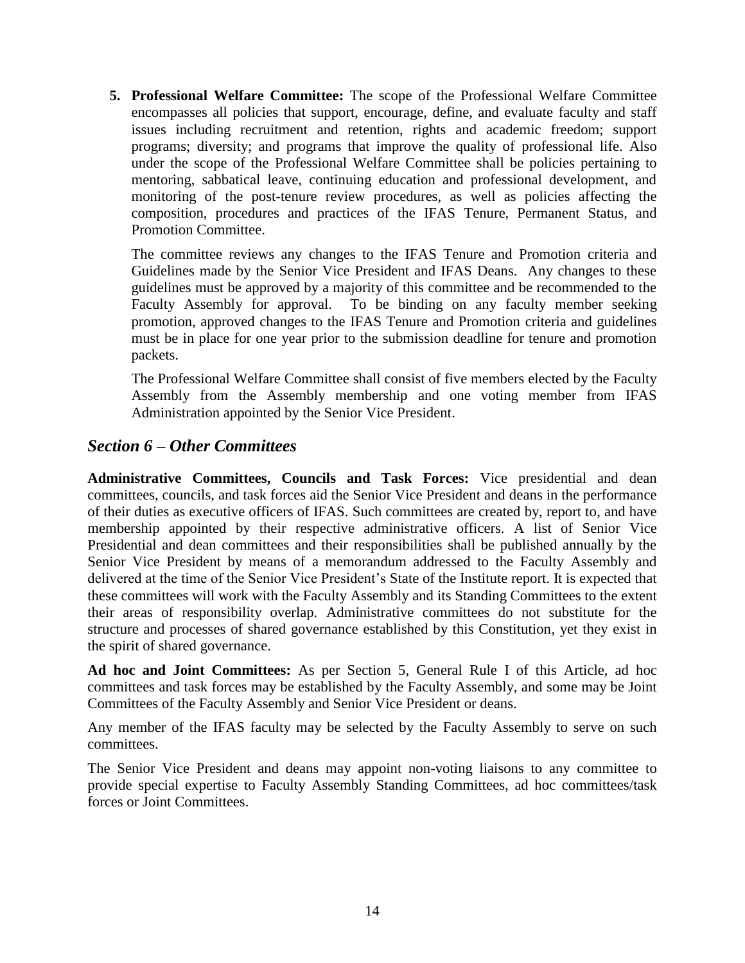**5. Professional Welfare Committee:** The scope of the Professional Welfare Committee encompasses all policies that support, encourage, define, and evaluate faculty and staff issues including recruitment and retention, rights and academic freedom; support programs; diversity; and programs that improve the quality of professional life. Also under the scope of the Professional Welfare Committee shall be policies pertaining to mentoring, sabbatical leave, continuing education and professional development, and monitoring of the post-tenure review procedures, as well as policies affecting the composition, procedures and practices of the IFAS Tenure, Permanent Status, and Promotion Committee.

The committee reviews any changes to the IFAS Tenure and Promotion criteria and Guidelines made by the Senior Vice President and IFAS Deans. Any changes to these guidelines must be approved by a majority of this committee and be recommended to the Faculty Assembly for approval. To be binding on any faculty member seeking promotion, approved changes to the IFAS Tenure and Promotion criteria and guidelines must be in place for one year prior to the submission deadline for tenure and promotion packets.

The Professional Welfare Committee shall consist of five members elected by the Faculty Assembly from the Assembly membership and one voting member from IFAS Administration appointed by the Senior Vice President.

### *Section 6 – Other Committees*

**Administrative Committees, Councils and Task Forces:** Vice presidential and dean committees, councils, and task forces aid the Senior Vice President and deans in the performance of their duties as executive officers of IFAS. Such committees are created by, report to, and have membership appointed by their respective administrative officers. A list of Senior Vice Presidential and dean committees and their responsibilities shall be published annually by the Senior Vice President by means of a memorandum addressed to the Faculty Assembly and delivered at the time of the Senior Vice President's State of the Institute report. It is expected that these committees will work with the Faculty Assembly and its Standing Committees to the extent their areas of responsibility overlap. Administrative committees do not substitute for the structure and processes of shared governance established by this Constitution, yet they exist in the spirit of shared governance.

**Ad hoc and Joint Committees:** As per Section 5, General Rule I of this Article, ad hoc committees and task forces may be established by the Faculty Assembly, and some may be Joint Committees of the Faculty Assembly and Senior Vice President or deans.

Any member of the IFAS faculty may be selected by the Faculty Assembly to serve on such committees.

The Senior Vice President and deans may appoint non-voting liaisons to any committee to provide special expertise to Faculty Assembly Standing Committees, ad hoc committees/task forces or Joint Committees.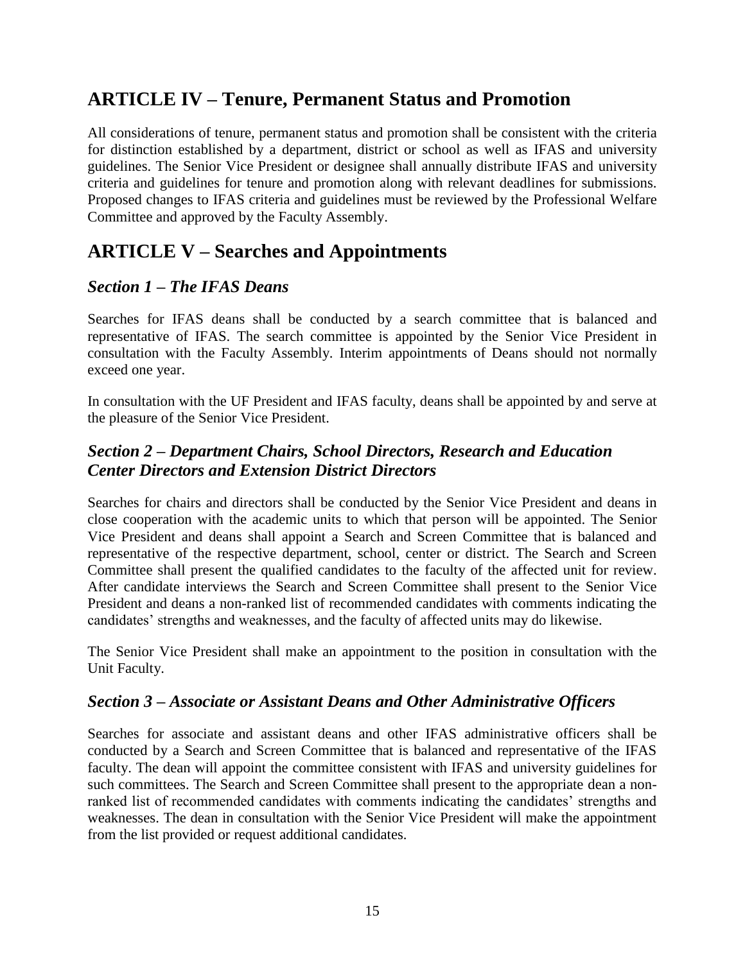## **ARTICLE IV – Tenure, Permanent Status and Promotion**

All considerations of tenure, permanent status and promotion shall be consistent with the criteria for distinction established by a department, district or school as well as IFAS and university guidelines. The Senior Vice President or designee shall annually distribute IFAS and university criteria and guidelines for tenure and promotion along with relevant deadlines for submissions. Proposed changes to IFAS criteria and guidelines must be reviewed by the Professional Welfare Committee and approved by the Faculty Assembly.

## **ARTICLE V – Searches and Appointments**

## *Section 1 – The IFAS Deans*

Searches for IFAS deans shall be conducted by a search committee that is balanced and representative of IFAS. The search committee is appointed by the Senior Vice President in consultation with the Faculty Assembly. Interim appointments of Deans should not normally exceed one year.

In consultation with the UF President and IFAS faculty, deans shall be appointed by and serve at the pleasure of the Senior Vice President.

## *Section 2 – Department Chairs, School Directors, Research and Education Center Directors and Extension District Directors*

Searches for chairs and directors shall be conducted by the Senior Vice President and deans in close cooperation with the academic units to which that person will be appointed. The Senior Vice President and deans shall appoint a Search and Screen Committee that is balanced and representative of the respective department, school, center or district. The Search and Screen Committee shall present the qualified candidates to the faculty of the affected unit for review. After candidate interviews the Search and Screen Committee shall present to the Senior Vice President and deans a non-ranked list of recommended candidates with comments indicating the candidates' strengths and weaknesses, and the faculty of affected units may do likewise.

The Senior Vice President shall make an appointment to the position in consultation with the Unit Faculty.

### *Section 3 – Associate or Assistant Deans and Other Administrative Officers*

Searches for associate and assistant deans and other IFAS administrative officers shall be conducted by a Search and Screen Committee that is balanced and representative of the IFAS faculty. The dean will appoint the committee consistent with IFAS and university guidelines for such committees. The Search and Screen Committee shall present to the appropriate dean a nonranked list of recommended candidates with comments indicating the candidates' strengths and weaknesses. The dean in consultation with the Senior Vice President will make the appointment from the list provided or request additional candidates.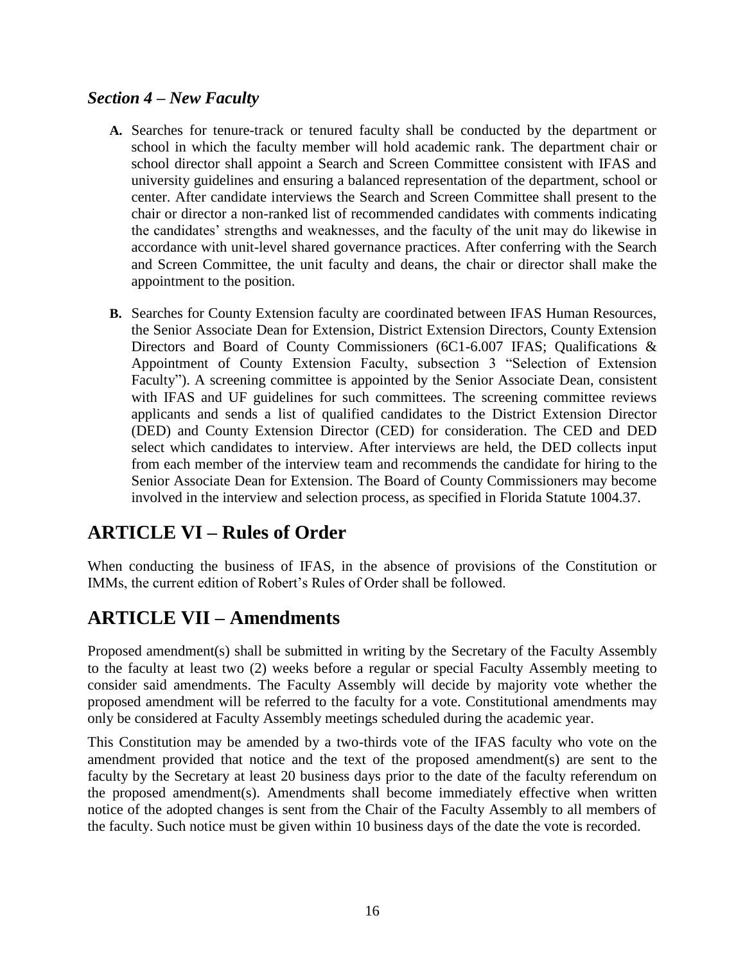## *Section 4 – New Faculty*

- **A.** Searches for tenure-track or tenured faculty shall be conducted by the department or school in which the faculty member will hold academic rank. The department chair or school director shall appoint a Search and Screen Committee consistent with IFAS and university guidelines and ensuring a balanced representation of the department, school or center. After candidate interviews the Search and Screen Committee shall present to the chair or director a non-ranked list of recommended candidates with comments indicating the candidates' strengths and weaknesses, and the faculty of the unit may do likewise in accordance with unit-level shared governance practices. After conferring with the Search and Screen Committee, the unit faculty and deans, the chair or director shall make the appointment to the position.
- **B.** Searches for County Extension faculty are coordinated between IFAS Human Resources, the Senior Associate Dean for Extension, District Extension Directors, County Extension Directors and Board of County Commissioners (6C1-6.007 IFAS; Qualifications & Appointment of County Extension Faculty, subsection 3 "Selection of Extension Faculty"). A screening committee is appointed by the Senior Associate Dean, consistent with IFAS and UF guidelines for such committees. The screening committee reviews applicants and sends a list of qualified candidates to the District Extension Director (DED) and County Extension Director (CED) for consideration. The CED and DED select which candidates to interview. After interviews are held, the DED collects input from each member of the interview team and recommends the candidate for hiring to the Senior Associate Dean for Extension. The Board of County Commissioners may become involved in the interview and selection process, as specified in Florida Statute 1004.37.

## **ARTICLE VI – Rules of Order**

When conducting the business of IFAS, in the absence of provisions of the Constitution or IMMs, the current edition of Robert's Rules of Order shall be followed.

## **ARTICLE VII – Amendments**

Proposed amendment(s) shall be submitted in writing by the Secretary of the Faculty Assembly to the faculty at least two (2) weeks before a regular or special Faculty Assembly meeting to consider said amendments. The Faculty Assembly will decide by majority vote whether the proposed amendment will be referred to the faculty for a vote. Constitutional amendments may only be considered at Faculty Assembly meetings scheduled during the academic year.

This Constitution may be amended by a two-thirds vote of the IFAS faculty who vote on the amendment provided that notice and the text of the proposed amendment(s) are sent to the faculty by the Secretary at least 20 business days prior to the date of the faculty referendum on the proposed amendment(s). Amendments shall become immediately effective when written notice of the adopted changes is sent from the Chair of the Faculty Assembly to all members of the faculty. Such notice must be given within 10 business days of the date the vote is recorded.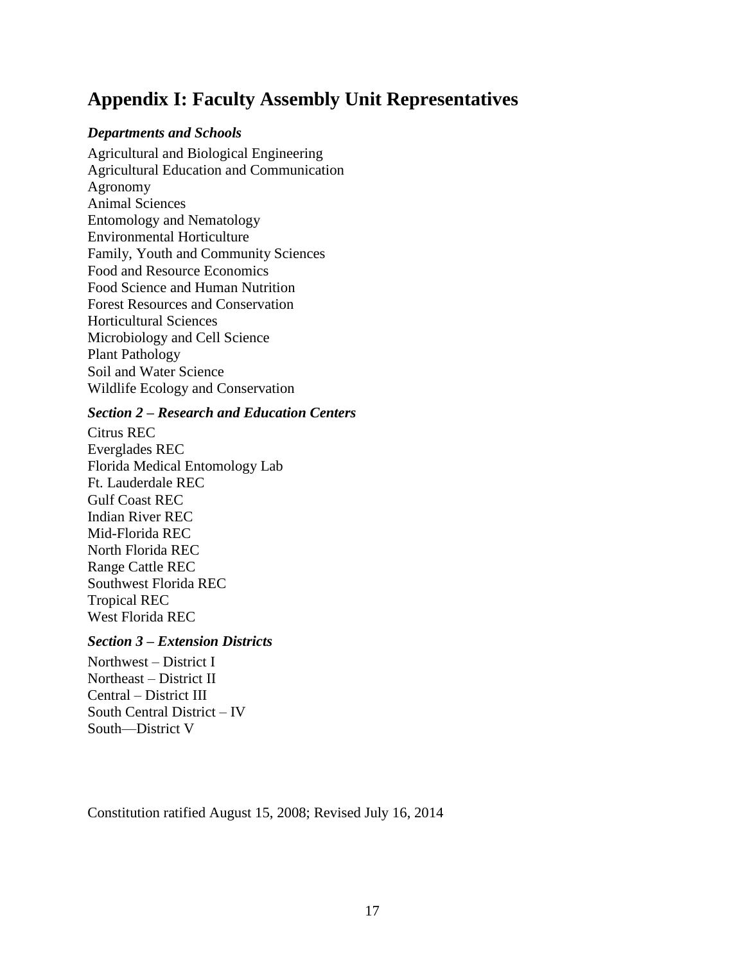## **Appendix I: Faculty Assembly Unit Representatives**

#### *Departments and Schools*

Agricultural and Biological Engineering Agricultural Education and Communication Agronomy Animal Sciences Entomology and Nematology Environmental Horticulture Family, Youth and Community Sciences Food and Resource Economics Food Science and Human Nutrition Forest Resources and Conservation Horticultural Sciences Microbiology and Cell Science Plant Pathology Soil and Water Science Wildlife Ecology and Conservation

#### *Section 2 – Research and Education Centers*

Citrus REC Everglades REC Florida Medical Entomology Lab Ft. Lauderdale REC Gulf Coast REC Indian River REC Mid-Florida REC North Florida REC Range Cattle REC Southwest Florida REC Tropical REC West Florida REC

#### *Section 3 – Extension Districts*

Northwest – District I Northeast – District II Central – District III South Central District – IV South—District V

Constitution ratified August 15, 2008; Revised July 16, 2014